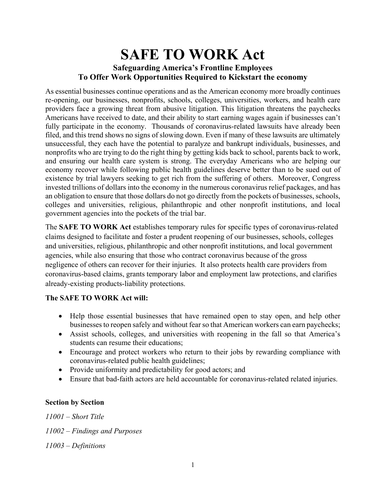# **SAFE TO WORK Act Safeguarding America's Frontline Employees To Offer Work Opportunities Required to Kickstart the economy**

As essential businesses continue operations and as the American economy more broadly continues re-opening, our businesses, nonprofits, schools, colleges, universities, workers, and health care providers face a growing threat from abusive litigation. This litigation threatens the paychecks Americans have received to date, and their ability to start earning wages again if businesses can't fully participate in the economy. Thousands of coronavirus-related lawsuits have already been filed, and this trend shows no signs of slowing down. Even if many of these lawsuits are ultimately unsuccessful, they each have the potential to paralyze and bankrupt individuals, businesses, and nonprofits who are trying to do the right thing by getting kids back to school, parents back to work, and ensuring our health care system is strong. The everyday Americans who are helping our economy recover while following public health guidelines deserve better than to be sued out of existence by trial lawyers seeking to get rich from the suffering of others. Moreover, Congress invested trillions of dollars into the economy in the numerous coronavirus relief packages, and has an obligation to ensure that those dollars do not go directly from the pockets of businesses, schools, colleges and universities, religious, philanthropic and other nonprofit institutions, and local government agencies into the pockets of the trial bar.

The **SAFE TO WORK Act** establishes temporary rules for specific types of coronavirus-related claims designed to facilitate and foster a prudent reopening of our businesses, schools, colleges and universities, religious, philanthropic and other nonprofit institutions, and local government agencies, while also ensuring that those who contract coronavirus because of the gross negligence of others can recover for their injuries. It also protects health care providers from coronavirus-based claims, grants temporary labor and employment law protections, and clarifies already-existing products-liability protections.

#### **The SAFE TO WORK Act will:**

- Help those essential businesses that have remained open to stay open, and help other businesses to reopen safely and without fearso that American workers can earn paychecks;
- Assist schools, colleges, and universities with reopening in the fall so that America's students can resume their educations;
- Encourage and protect workers who return to their jobs by rewarding compliance with coronavirus-related public health guidelines;
- Provide uniformity and predictability for good actors; and
- Ensure that bad-faith actors are held accountable for coronavirus-related related injuries.

#### **Section by Section**

*11001 – Short Title 11002 – Findings and Purposes 11003 – Definitions*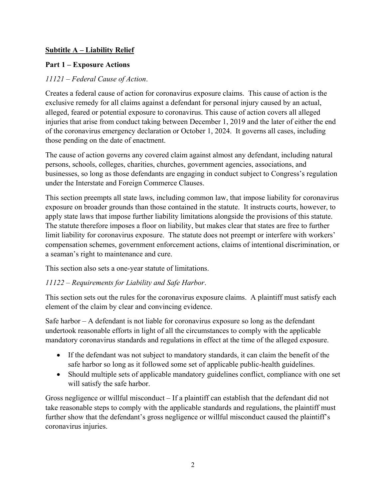#### **Subtitle A – Liability Relief**

## **Part 1 – Exposure Actions**

## *11121 – Federal Cause of Action*.

Creates a federal cause of action for coronavirus exposure claims. This cause of action is the exclusive remedy for all claims against a defendant for personal injury caused by an actual, alleged, feared or potential exposure to coronavirus. This cause of action covers all alleged injuries that arise from conduct taking between December 1, 2019 and the later of either the end of the coronavirus emergency declaration or October 1, 2024. It governs all cases, including those pending on the date of enactment.

The cause of action governs any covered claim against almost any defendant, including natural persons, schools, colleges, charities, churches, government agencies, associations, and businesses, so long as those defendants are engaging in conduct subject to Congress's regulation under the Interstate and Foreign Commerce Clauses.

This section preempts all state laws, including common law, that impose liability for coronavirus exposure on broader grounds than those contained in the statute. It instructs courts, however, to apply state laws that impose further liability limitations alongside the provisions of this statute. The statute therefore imposes a floor on liability, but makes clear that states are free to further limit liability for coronavirus exposure. The statute does not preempt or interfere with workers' compensation schemes, government enforcement actions, claims of intentional discrimination, or a seaman's right to maintenance and cure.

This section also sets a one-year statute of limitations.

#### *11122 – Requirements for Liability and Safe Harbor*.

This section sets out the rules for the coronavirus exposure claims. A plaintiff must satisfy each element of the claim by clear and convincing evidence.

Safe harbor – A defendant is not liable for coronavirus exposure so long as the defendant undertook reasonable efforts in light of all the circumstances to comply with the applicable mandatory coronavirus standards and regulations in effect at the time of the alleged exposure.

- If the defendant was not subject to mandatory standards, it can claim the benefit of the safe harbor so long as it followed some set of applicable public-health guidelines.
- Should multiple sets of applicable mandatory guidelines conflict, compliance with one set will satisfy the safe harbor.

Gross negligence or willful misconduct – If a plaintiff can establish that the defendant did not take reasonable steps to comply with the applicable standards and regulations, the plaintiff must further show that the defendant's gross negligence or willful misconduct caused the plaintiff's coronavirus injuries.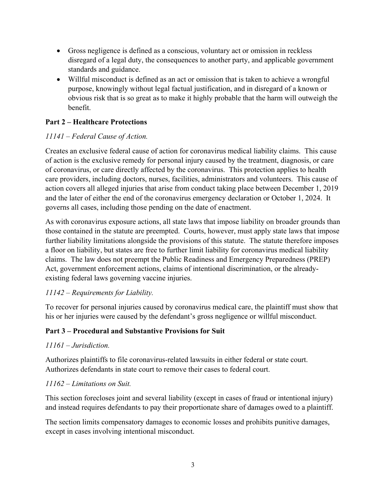- Gross negligence is defined as a conscious, voluntary act or omission in reckless disregard of a legal duty, the consequences to another party, and applicable government standards and guidance.
- Willful misconduct is defined as an act or omission that is taken to achieve a wrongful purpose, knowingly without legal factual justification, and in disregard of a known or obvious risk that is so great as to make it highly probable that the harm will outweigh the benefit.

#### **Part 2 – Healthcare Protections**

#### *11141 – Federal Cause of Action.*

Creates an exclusive federal cause of action for coronavirus medical liability claims. This cause of action is the exclusive remedy for personal injury caused by the treatment, diagnosis, or care of coronavirus, or care directly affected by the coronavirus. This protection applies to health care providers, including doctors, nurses, facilities, administrators and volunteers. This cause of action covers all alleged injuries that arise from conduct taking place between December 1, 2019 and the later of either the end of the coronavirus emergency declaration or October 1, 2024. It governs all cases, including those pending on the date of enactment.

As with coronavirus exposure actions, all state laws that impose liability on broader grounds than those contained in the statute are preempted. Courts, however, must apply state laws that impose further liability limitations alongside the provisions of this statute. The statute therefore imposes a floor on liability, but states are free to further limit liability for coronavirus medical liability claims. The law does not preempt the Public Readiness and Emergency Preparedness (PREP) Act, government enforcement actions, claims of intentional discrimination, or the alreadyexisting federal laws governing vaccine injuries.

#### *11142 – Requirements for Liability.*

To recover for personal injuries caused by coronavirus medical care, the plaintiff must show that his or her injuries were caused by the defendant's gross negligence or willful misconduct.

#### **Part 3 – Procedural and Substantive Provisions for Suit**

#### *11161 – Jurisdiction.*

Authorizes plaintiffs to file coronavirus-related lawsuits in either federal or state court. Authorizes defendants in state court to remove their cases to federal court.

#### *11162 – Limitations on Suit.*

This section forecloses joint and several liability (except in cases of fraud or intentional injury) and instead requires defendants to pay their proportionate share of damages owed to a plaintiff.

The section limits compensatory damages to economic losses and prohibits punitive damages, except in cases involving intentional misconduct.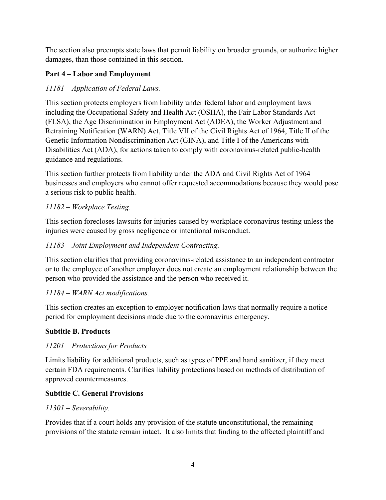The section also preempts state laws that permit liability on broader grounds, or authorize higher damages, than those contained in this section.

## **Part 4 – Labor and Employment**

## *11181 – Application of Federal Laws.*

This section protects employers from liability under federal labor and employment laws including the Occupational Safety and Health Act (OSHA), the Fair Labor Standards Act (FLSA), the Age Discrimination in Employment Act (ADEA), the Worker Adjustment and Retraining Notification (WARN) Act, Title VII of the Civil Rights Act of 1964, Title II of the Genetic Information Nondiscrimination Act (GINA), and Title I of the Americans with Disabilities Act (ADA), for actions taken to comply with coronavirus-related public-health guidance and regulations.

This section further protects from liability under the ADA and Civil Rights Act of 1964 businesses and employers who cannot offer requested accommodations because they would pose a serious risk to public health.

## *11182 – Workplace Testing.*

This section forecloses lawsuits for injuries caused by workplace coronavirus testing unless the injuries were caused by gross negligence or intentional misconduct.

## *11183 – Joint Employment and Independent Contracting.*

This section clarifies that providing coronavirus-related assistance to an independent contractor or to the employee of another employer does not create an employment relationship between the person who provided the assistance and the person who received it.

## *11184 – WARN Act modifications.*

This section creates an exception to employer notification laws that normally require a notice period for employment decisions made due to the coronavirus emergency.

## **Subtitle B. Products**

## *11201 – Protections for Products*

Limits liability for additional products, such as types of PPE and hand sanitizer, if they meet certain FDA requirements. Clarifies liability protections based on methods of distribution of approved countermeasures.

## **Subtitle C. General Provisions**

## *11301 – Severability.*

Provides that if a court holds any provision of the statute unconstitutional, the remaining provisions of the statute remain intact. It also limits that finding to the affected plaintiff and